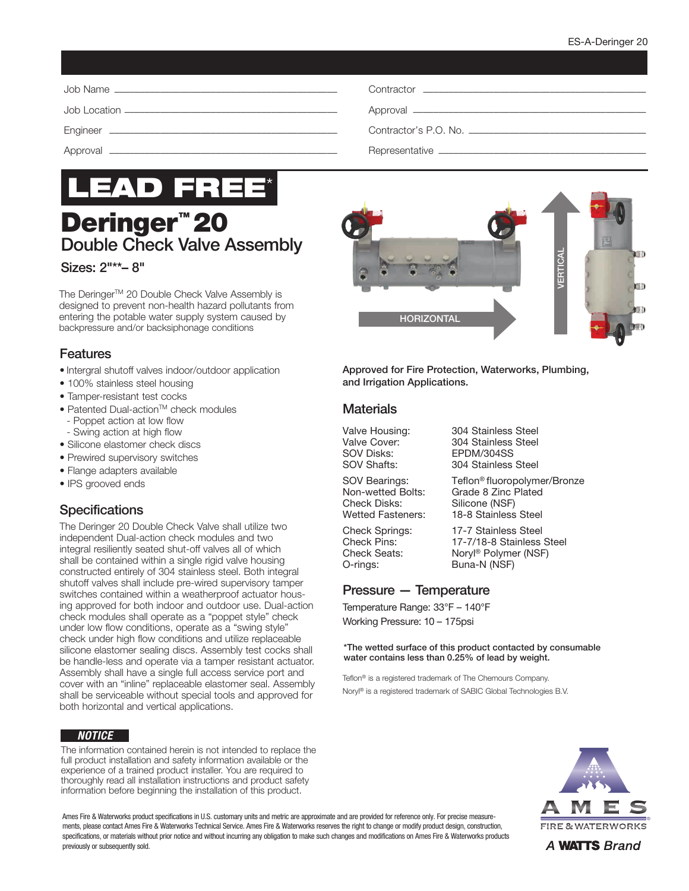

# Deringer<sup>™</sup> 20 Double Check Valve Assembly

Sizes: 2"\*\*– 8"

The Deringer™ 20 Double Check Valve Assembly is designed to prevent non-health hazard pollutants from entering the potable water supply system caused by backpressure and/or backsiphonage conditions

#### Features

- Intergral shutoff valves indoor/outdoor application
- 100% stainless steel housing
- Tamper-resistant test cocks
- Patented Dual-action™ check modules
- Poppet action at low flow
- Swing action at high flow
- Silicone elastomer check discs
- Prewired supervisory switches
- Flange adapters available
- IPS grooved ends

## **Specifications**

The Deringer 20 Double Check Valve shall utilize two independent Dual-action check modules and two integral resiliently seated shut-off valves all of which shall be contained within a single rigid valve housing constructed entirely of 304 stainless steel. Both integral shutoff valves shall include pre-wired supervisory tamper switches contained within a weatherproof actuator housing approved for both indoor and outdoor use. Dual-action check modules shall operate as a "poppet style" check under low flow conditions, operate as a "swing style" check under high flow conditions and utilize replaceable silicone elastomer sealing discs. Assembly test cocks shall be handle-less and operate via a tamper resistant actuator. Assembly shall have a single full access service port and cover with an "inline" replaceable elastomer seal. Assembly shall be serviceable without special tools and approved for both horizontal and vertical applications.

#### *NOTICE*

The information contained herein is not intended to replace the full product installation and safety information available or the experience of a trained product installer. You are required to thoroughly read all installation instructions and product safety information before beginning the installation of this product.



Approved for Fire Protection, Waterworks, Plumbing, and Irrigation Applications.

#### **Materials**

SOV Disks:<br>SOV Shafts: 304 Stainless

Valve Housing: 304 Stainless Steel Valve Cover: 304 Stainless Steel 304 Stainless Steel

SOV Bearings: Teflon<sup>®</sup> fluoropolymer/Bronze Non-wetted Bolts: Grade 8 Zinc Plated<br>Check Disks: Silicone (NSF) Check Disks: Silicone (NSF)<br>Wetted Fasteners: 18-8 Stainless

18-8 Stainless Steel

Check Springs: 17-7 Stainless Steel Check Pins: 17-7/18-8 Stainless Steel<br>Check Seats: Norvl® Polymer (NSF) Noryl® Polymer (NSF) O-rings: Buna-N (NSF)

#### Pressure — Temperature

Temperature Range: 33°F – 140°F Working Pressure: 10 – 175psi

\*The wetted surface of this product contacted by consumable water contains less than 0.25% of lead by weight.

Teflon<sup>®</sup> is a registered trademark of The Chemours Company. Noryl® is a registered trademark of SABIC Global Technologies B.V.



Ames Fire & Waterworks product specifications in U.S. customary units and metric are approximate and are provided for reference only. For precise measurements, please contact Ames Fire & Waterworks Technical Service. Ames Fire & Waterworks reserves the right to change or modify product design, construction, specifications, or materials without prior notice and without incurring any obligation to make such changes and modifications on Ames Fire & Waterworks products previously or subsequently sold.

A **WATTS** Brand